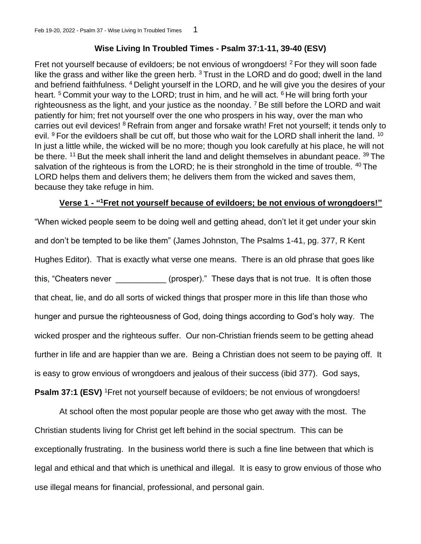# **Wise Living In Troubled Times - Psalm 37:1-11, 39-40 (ESV)**

Fret not yourself because of evildoers; be not envious of wrongdoers! <sup>2</sup> For they will soon fade like the grass and wither like the green herb.  $3$  Trust in the LORD and do good; dwell in the land and befriend faithfulness. <sup>4</sup> Delight yourself in the LORD, and he will give you the desires of your heart.  $5$  Commit your way to the LORD; trust in him, and he will act.  $6$  He will bring forth your righteousness as the light, and your justice as the noonday. <sup>7</sup> Be still before the LORD and wait patiently for him; fret not yourself over the one who prospers in his way, over the man who carries out evil devices! <sup>8</sup> Refrain from anger and forsake wrath! Fret not yourself; it tends only to evil. <sup>9</sup> For the evildoers shall be cut off, but those who wait for the LORD shall inherit the land. <sup>10</sup> In just a little while, the wicked will be no more; though you look carefully at his place, he will not be there. <sup>11</sup> But the meek shall inherit the land and delight themselves in abundant peace. <sup>39</sup> The salvation of the righteous is from the LORD; he is their stronghold in the time of trouble. <sup>40</sup> The LORD helps them and delivers them; he delivers them from the wicked and saves them, because they take refuge in him.

# **Verse 1 - " <sup>1</sup>Fret not yourself because of evildoers; be not envious of wrongdoers!"**

"When wicked people seem to be doing well and getting ahead, don't let it get under your skin and don't be tempted to be like them" (James Johnston, The Psalms 1-41, pg. 377, R Kent Hughes Editor). That is exactly what verse one means. There is an old phrase that goes like this, "Cheaters never **the set of the set of the set of the set of the set of the set of the set of the set of the set of the set of the set of the set of the set of the set of the set of the set of the set of the set of t** that cheat, lie, and do all sorts of wicked things that prosper more in this life than those who hunger and pursue the righteousness of God, doing things according to God's holy way. The wicked prosper and the righteous suffer. Our non-Christian friends seem to be getting ahead further in life and are happier than we are. Being a Christian does not seem to be paying off. It is easy to grow envious of wrongdoers and jealous of their success (ibid 377). God says, **Psalm 37:1 (ESV)** <sup>1</sup>Fret not yourself because of evildoers; be not envious of wrongdoers!

At school often the most popular people are those who get away with the most. The Christian students living for Christ get left behind in the social spectrum. This can be exceptionally frustrating. In the business world there is such a fine line between that which is legal and ethical and that which is unethical and illegal. It is easy to grow envious of those who use illegal means for financial, professional, and personal gain.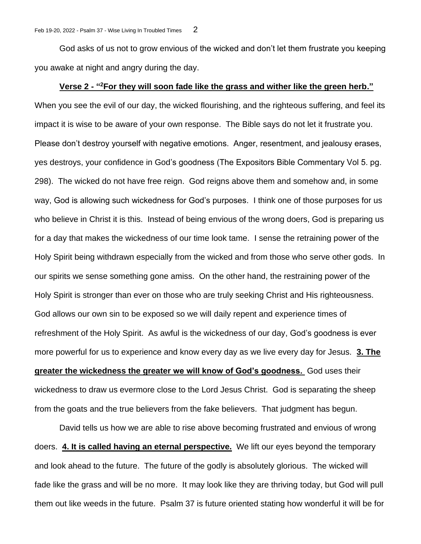God asks of us not to grow envious of the wicked and don't let them frustrate you keeping you awake at night and angry during the day.

## **Verse 2 - " <sup>2</sup>For they will soon fade like the grass and wither like the green herb."**

When you see the evil of our day, the wicked flourishing, and the righteous suffering, and feel its impact it is wise to be aware of your own response. The Bible says do not let it frustrate you. Please don't destroy yourself with negative emotions. Anger, resentment, and jealousy erases, yes destroys, your confidence in God's goodness (The Expositors Bible Commentary Vol 5. pg. 298). The wicked do not have free reign. God reigns above them and somehow and, in some way, God is allowing such wickedness for God's purposes. I think one of those purposes for us who believe in Christ it is this. Instead of being envious of the wrong doers, God is preparing us for a day that makes the wickedness of our time look tame. I sense the retraining power of the Holy Spirit being withdrawn especially from the wicked and from those who serve other gods. In our spirits we sense something gone amiss. On the other hand, the restraining power of the Holy Spirit is stronger than ever on those who are truly seeking Christ and His righteousness. God allows our own sin to be exposed so we will daily repent and experience times of refreshment of the Holy Spirit. As awful is the wickedness of our day, God's goodness is ever more powerful for us to experience and know every day as we live every day for Jesus. **3. The greater the wickedness the greater we will know of God's goodness.** God uses their wickedness to draw us evermore close to the Lord Jesus Christ. God is separating the sheep from the goats and the true believers from the fake believers. That judgment has begun.

David tells us how we are able to rise above becoming frustrated and envious of wrong doers. **4. It is called having an eternal perspective.** We lift our eyes beyond the temporary and look ahead to the future. The future of the godly is absolutely glorious. The wicked will fade like the grass and will be no more. It may look like they are thriving today, but God will pull them out like weeds in the future. Psalm 37 is future oriented stating how wonderful it will be for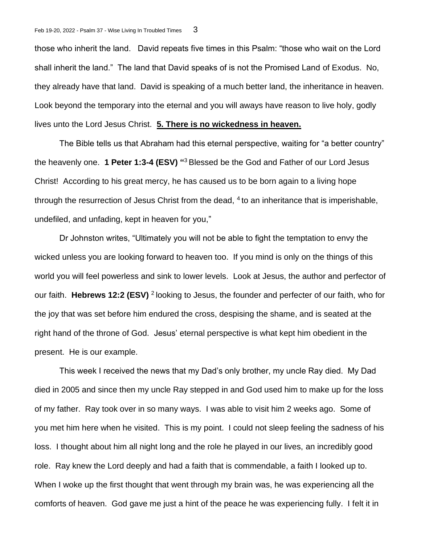those who inherit the land. David repeats five times in this Psalm: "those who wait on the Lord shall inherit the land." The land that David speaks of is not the Promised Land of Exodus. No, they already have that land. David is speaking of a much better land, the inheritance in heaven. Look beyond the temporary into the eternal and you will aways have reason to live holy, godly lives unto the Lord Jesus Christ. **5. There is no wickedness in heaven.**

The Bible tells us that Abraham had this eternal perspective, waiting for "a better country" the heavenly one. **1 Peter 1:3-4 (ESV) "** <sup>3</sup>Blessed be the God and Father of our Lord Jesus Christ! According to his great mercy, he has caused us to be born again to a living hope through the resurrection of Jesus Christ from the dead,  $4$  to an inheritance that is imperishable, undefiled, and unfading, kept in heaven for you,"

Dr Johnston writes, "Ultimately you will not be able to fight the temptation to envy the wicked unless you are looking forward to heaven too. If you mind is only on the things of this world you will feel powerless and sink to lower levels. Look at Jesus, the author and perfector of our faith. **Hebrews 12:2 (ESV)** <sup>2</sup>looking to Jesus, the founder and perfecter of our faith, who for the joy that was set before him endured the cross, despising the shame, and is seated at the right hand of the throne of God. Jesus' eternal perspective is what kept him obedient in the present. He is our example.

This week I received the news that my Dad's only brother, my uncle Ray died. My Dad died in 2005 and since then my uncle Ray stepped in and God used him to make up for the loss of my father. Ray took over in so many ways. I was able to visit him 2 weeks ago. Some of you met him here when he visited. This is my point. I could not sleep feeling the sadness of his loss. I thought about him all night long and the role he played in our lives, an incredibly good role. Ray knew the Lord deeply and had a faith that is commendable, a faith I looked up to. When I woke up the first thought that went through my brain was, he was experiencing all the comforts of heaven. God gave me just a hint of the peace he was experiencing fully. I felt it in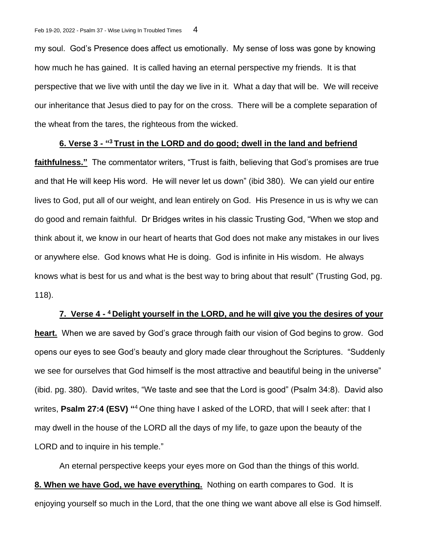my soul. God's Presence does affect us emotionally. My sense of loss was gone by knowing how much he has gained. It is called having an eternal perspective my friends. It is that perspective that we live with until the day we live in it. What a day that will be. We will receive our inheritance that Jesus died to pay for on the cross. There will be a complete separation of the wheat from the tares, the righteous from the wicked.

## **6. Verse 3 - " <sup>3</sup>Trust in the LORD and do good; dwell in the land and befriend**

**faithfulness."** The commentator writers, "Trust is faith, believing that God's promises are true and that He will keep His word. He will never let us down" (ibid 380). We can yield our entire lives to God, put all of our weight, and lean entirely on God. His Presence in us is why we can do good and remain faithful. Dr Bridges writes in his classic Trusting God, "When we stop and think about it, we know in our heart of hearts that God does not make any mistakes in our lives or anywhere else. God knows what He is doing. God is infinite in His wisdom. He always knows what is best for us and what is the best way to bring about that result" (Trusting God, pg. 118).

## **7. Verse 4 - <sup>4</sup>Delight yourself in the LORD, and he will give you the desires of your**

**heart.** When we are saved by God's grace through faith our vision of God begins to grow. God opens our eyes to see God's beauty and glory made clear throughout the Scriptures. "Suddenly we see for ourselves that God himself is the most attractive and beautiful being in the universe" (ibid. pg. 380). David writes, "We taste and see that the Lord is good" (Psalm 34:8). David also writes, Psalm 27:4 (ESV) "<sup>4</sup> One thing have I asked of the LORD, that will I seek after: that I may dwell in the house of the LORD all the days of my life, to gaze upon the beauty of the LORD and to inquire in his temple."

An eternal perspective keeps your eyes more on God than the things of this world. **8. When we have God, we have everything.** Nothing on earth compares to God. It is enjoying yourself so much in the Lord, that the one thing we want above all else is God himself.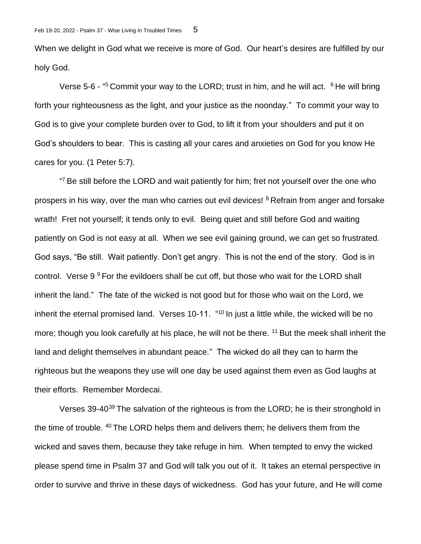When we delight in God what we receive is more of God. Our heart's desires are fulfilled by our holy God.

Verse 5-6 - "<sup>5</sup> Commit your way to the LORD; trust in him, and he will act. <sup>6</sup> He will bring forth your righteousness as the light, and your justice as the noonday." To commit your way to God is to give your complete burden over to God, to lift it from your shoulders and put it on God's shoulders to bear. This is casting all your cares and anxieties on God for you know He cares for you. (1 Peter 5:7).

<sup>47</sup> Be still before the LORD and wait patiently for him; fret not yourself over the one who prospers in his way, over the man who carries out evil devices! <sup>8</sup> Refrain from anger and forsake wrath! Fret not yourself; it tends only to evil. Being quiet and still before God and waiting patiently on God is not easy at all. When we see evil gaining ground, we can get so frustrated. God says, "Be still. Wait patiently. Don't get angry. This is not the end of the story. God is in control. Verse  $9^9$  For the evildoers shall be cut off, but those who wait for the LORD shall inherit the land." The fate of the wicked is not good but for those who wait on the Lord, we inherit the eternal promised land. Verses 10-11.  $40$  In just a little while, the wicked will be no more; though you look carefully at his place, he will not be there.  $11$  But the meek shall inherit the land and delight themselves in abundant peace." The wicked do all they can to harm the righteous but the weapons they use will one day be used against them even as God laughs at their efforts. Remember Mordecai.

Verses 39-40<sup>39</sup> The salvation of the righteous is from the LORD; he is their stronghold in the time of trouble. <sup>40</sup> The LORD helps them and delivers them; he delivers them from the wicked and saves them, because they take refuge in him. When tempted to envy the wicked please spend time in Psalm 37 and God will talk you out of it. It takes an eternal perspective in order to survive and thrive in these days of wickedness. God has your future, and He will come